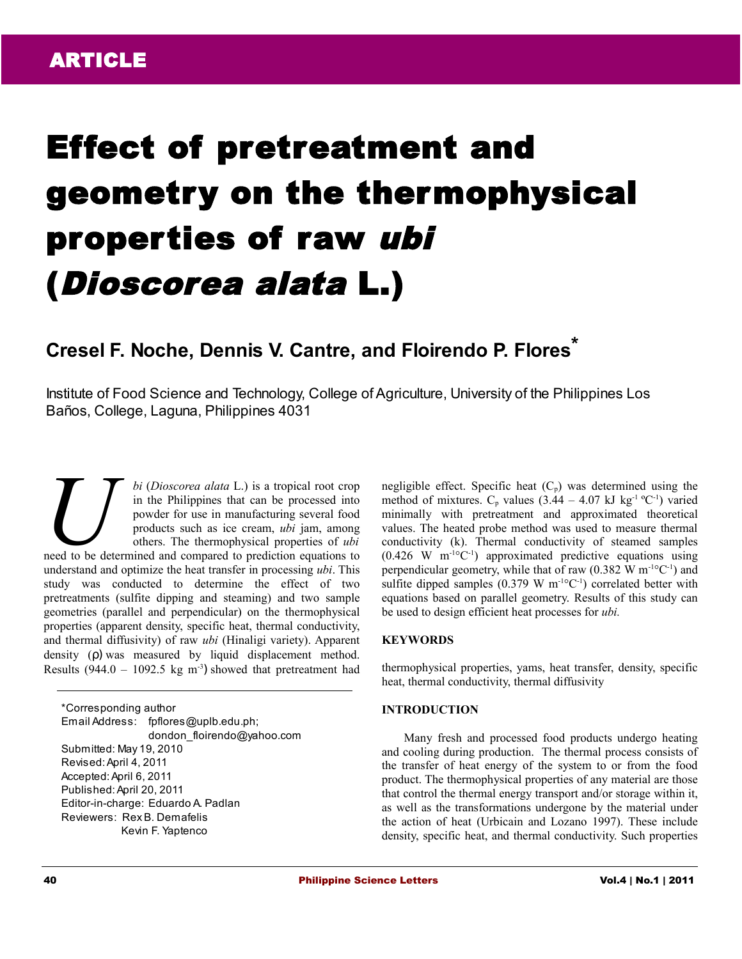# Effect of pretreatment and geometry on the thermophysical properties of raw ubi (Dioscorea alata L.)

# **Cresel F. Noche, Dennis V. Cantre, and Floirendo P. Flores\***

Institute of Food Science and Technology, College of Agriculture, University of the Philippines Los Baños, College, Laguna, Philippines 4031

*bi* (*Dioscorea alata* L.) is a tropical root crop in the Philippines that can be processed into powder for use in manufacturing several food products such as ice cream, *ubi* jam, among others. The thermophysical properties of *ubi bi* (*Dioscorea alata* L.) is a tropical root crop in the Philippines that can be processed into powder for use in manufacturing several food products such as ice cream, *ubi* jam, among others. The thermophysical propert understand and optimize the heat transfer in processing *ubi*. This study was conducted to determine the effect of two pretreatments (sulfite dipping and steaming) and two sample geometries (parallel and perpendicular) on the thermophysical properties (apparent density, specific heat, thermal conductivity, and thermal diffusivity) of raw *ubi* (Hinaligi variety). Apparent density (ρ) was measured by liquid displacement method. Results (944.0 – 1092.5 kg m<sup>-3</sup>) showed that pretreatment had

\*Corresponding author Email Address: fpflores@uplb.edu.ph; dondon\_floirendo@yahoo.com Submitted: May 19, 2010 Revised: April 4, 2011 Accepted: April 6, 2011 Published: April 20, 2011 Editor-in-charge: Eduardo A. Padlan Reviewers: Rex B. Demafelis Kevin F. Yaptenco

negligible effect. Specific heat  $(C_p)$  was determined using the method of mixtures.  $C_p$  values (3.44 – 4.07 kJ kg<sup>-1 o</sup>C<sup>-1</sup>) varied minimally with pretreatment and approximated theoretical values. The heated probe method was used to measure thermal conductivity (k). Thermal conductivity of steamed samples  $(0.426 \text{ W } \text{m}^{-1} \text{°C}^{-1})$  approximated predictive equations using perpendicular geometry, while that of raw  $(0.382 \text{ W m}^{-1} \textdegree C^{-1})$  and sulfite dipped samples (0.379 W  $m^{-1}$ °C<sup>-1</sup>) correlated better with equations based on parallel geometry. Results of this study can be used to design efficient heat processes for *ubi.*

# **KEYWORDS**

thermophysical properties, yams, heat transfer, density, specific heat, thermal conductivity, thermal diffusivity

#### **INTRODUCTION**

Many fresh and processed food products undergo heating and cooling during production. The thermal process consists of the transfer of heat energy of the system to or from the food product. The thermophysical properties of any material are those that control the thermal energy transport and/or storage within it, as well as the transformations undergone by the material under the action of heat (Urbicain and Lozano 1997). These include density, specific heat, and thermal conductivity. Such properties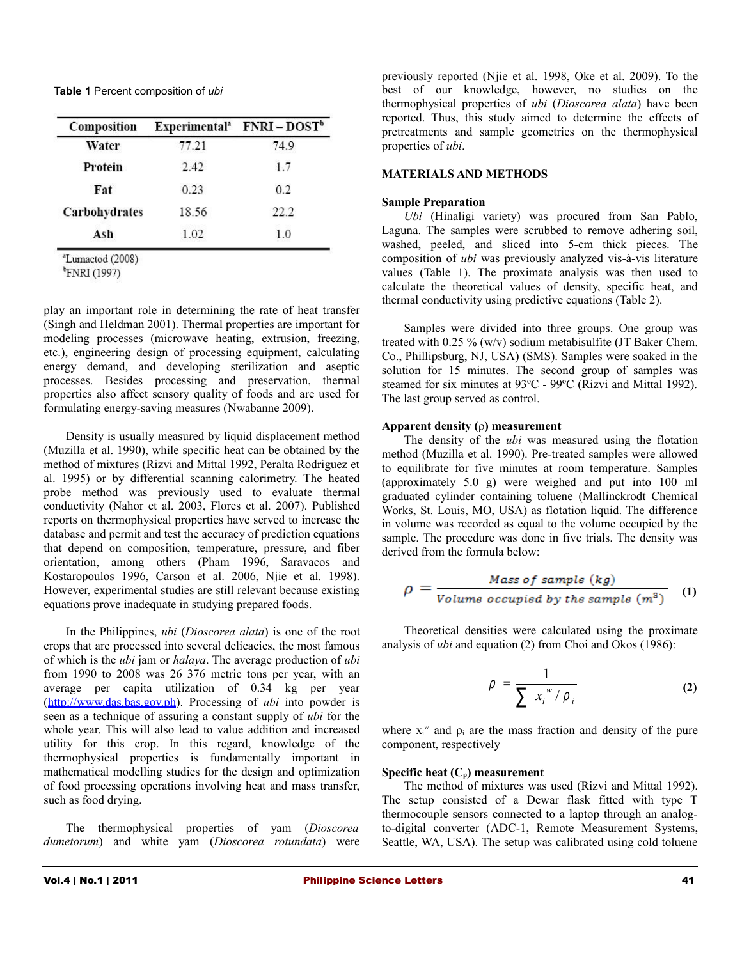**Table 1** Percent composition of *ubi*

| Composition   |       | $Experimentala$ FNRI - $DOSTb$ |  |  |
|---------------|-------|--------------------------------|--|--|
| Water         | 77.21 | 74.9                           |  |  |
| Protein       | 2.42  | 1.7                            |  |  |
| Fat           | 0.23  | 0.2                            |  |  |
| Carbohydrates | 18.56 | 22.2                           |  |  |
| Ash           | 1.02  | 1.0                            |  |  |

<sup>a</sup>Lumactod (2008)

 $\rm ^{b}$ FNRI (1997)

play an important role in determining the rate of heat transfer (Singh and Heldman 2001). Thermal properties are important for modeling processes (microwave heating, extrusion, freezing, etc.), engineering design of processing equipment, calculating energy demand, and developing sterilization and aseptic processes. Besides processing and preservation, thermal properties also affect sensory quality of foods and are used for formulating energy-saving measures (Nwabanne 2009).

Density is usually measured by liquid displacement method (Muzilla et al. 1990), while specific heat can be obtained by the method of mixtures (Rizvi and Mittal 1992, Peralta Rodriguez et al. 1995) or by differential scanning calorimetry. The heated probe method was previously used to evaluate thermal conductivity (Nahor et al. 2003, Flores et al. 2007). Published reports on thermophysical properties have served to increase the database and permit and test the accuracy of prediction equations that depend on composition, temperature, pressure, and fiber orientation, among others (Pham 1996, Saravacos and Kostaropoulos 1996, Carson et al. 2006, Njie et al. 1998). However, experimental studies are still relevant because existing equations prove inadequate in studying prepared foods.

In the Philippines, *ubi* (*Dioscorea alata*) is one of the root crops that are processed into several delicacies, the most famous of which is the *ubi* jam or *halaya*. The average production of *ubi* from 1990 to 2008 was 26 376 metric tons per year, with an average per capita utilization of 0.34 kg per year [\(http://www.das.bas.gov.ph\)](http://www.das.bas.gov.ph/). Processing of *ubi* into powder is seen as a technique of assuring a constant supply of *ubi* for the whole year. This will also lead to value addition and increased utility for this crop. In this regard, knowledge of the thermophysical properties is fundamentally important in mathematical modelling studies for the design and optimization of food processing operations involving heat and mass transfer, such as food drying.

The thermophysical properties of yam (*Dioscorea dumetorum*) and white yam (*Dioscorea rotundata*) were previously reported (Njie et al. 1998, Oke et al. 2009). To the best of our knowledge, however, no studies on the thermophysical properties of *ubi* (*Dioscorea alata*) have been reported. Thus, this study aimed to determine the effects of pretreatments and sample geometries on the thermophysical properties of *ubi*.

# **MATERIALS AND METHODS**

#### **Sample Preparation**

*Ubi* (Hinaligi variety) was procured from San Pablo, Laguna. The samples were scrubbed to remove adhering soil, washed, peeled, and sliced into 5-cm thick pieces. The composition of *ubi* was previously analyzed vis-à-vis literature values (Table 1). The proximate analysis was then used to calculate the theoretical values of density, specific heat, and thermal conductivity using predictive equations (Table 2).

Samples were divided into three groups. One group was treated with 0.25 % (w/v) sodium metabisulfite (JT Baker Chem. Co., Phillipsburg, NJ, USA) (SMS). Samples were soaked in the solution for 15 minutes. The second group of samples was steamed for six minutes at 93ºC - 99ºC (Rizvi and Mittal 1992). The last group served as control.

# **Apparent density (**ρ**) measurement**

The density of the *ubi* was measured using the flotation method (Muzilla et al. 1990). Pre-treated samples were allowed to equilibrate for five minutes at room temperature. Samples (approximately 5.0 g) were weighed and put into 100 ml graduated cylinder containing toluene (Mallinckrodt Chemical Works, St. Louis, MO, USA) as flotation liquid. The difference in volume was recorded as equal to the volume occupied by the sample. The procedure was done in five trials. The density was derived from the formula below:

$$
\rho = \frac{Mass\ of\ sample\ (kg)}{Volume\ occupied\ by\ the\ sample\ (m^3)}
$$
 (1)

Theoretical densities were calculated using the proximate analysis of *ubi* and equation (2) from Choi and Okos (1986):

$$
\rho = \frac{1}{\sum x_i^{\,w} / \rho_i} \tag{2}
$$

where  $x_i^w$  and  $\rho_i$  are the mass fraction and density of the pure component, respectively

# **Specific heat (Cp) measurement**

The method of mixtures was used (Rizvi and Mittal 1992). The setup consisted of a Dewar flask fitted with type T thermocouple sensors connected to a laptop through an analogto-digital converter (ADC-1, Remote Measurement Systems, Seattle, WA, USA). The setup was calibrated using cold toluene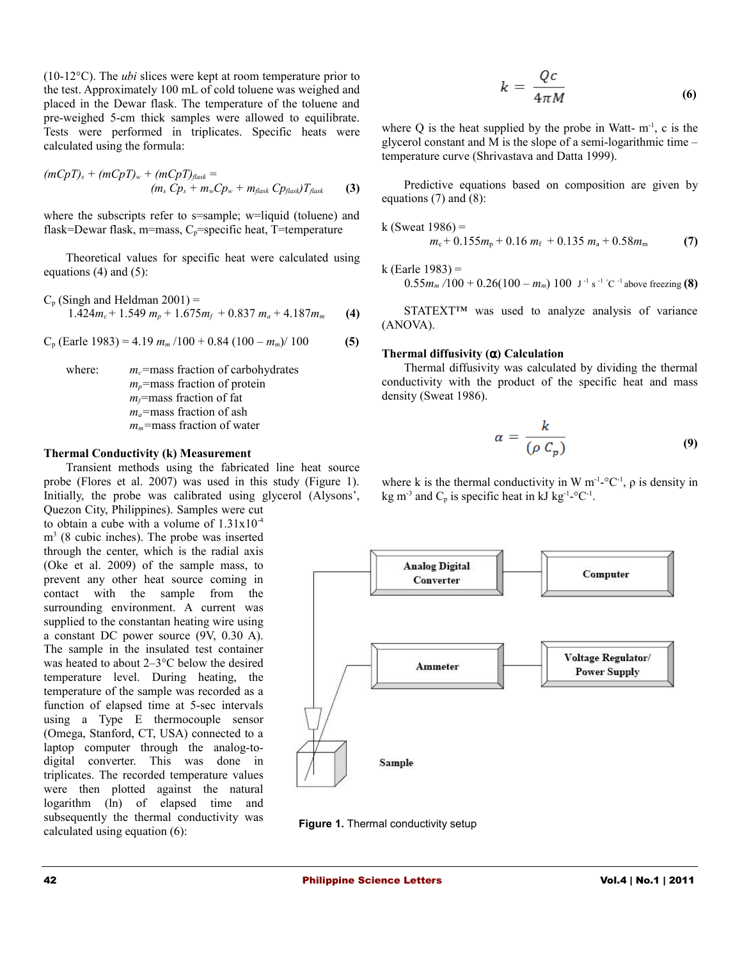(10-12°C). The *ubi* slices were kept at room temperature prior to the test. Approximately 100 mL of cold toluene was weighed and placed in the Dewar flask. The temperature of the toluene and pre-weighed 5-cm thick samples were allowed to equilibrate. Tests were performed in triplicates. Specific heats were calculated using the formula:

$$
(mCpT)s + (mCpT)w + (mCpT)flask =(ms Cps + mwCpw + mflask Cpflask)Tflask
$$
 (3)

where the subscripts refer to s=sample; w=liquid (toluene) and flask=Dewar flask, m=mass,  $C_n$ =specific heat, T=temperature

Theoretical values for specific heat were calculated using equations  $(4)$  and  $(5)$ :

$$
C_p \text{ (Singh and Heldman 2001)} = 1.424 m_c + 1.549 m_p + 1.675 m_f + 0.837 m_a + 4.187 m_m \qquad \textbf{(4)}
$$

 $C_p$  (Earle 1983) = 4.19  $m_m/100 + 0.84 (100 - m_m)/100$  (5)

where: *m<sub>c</sub>*=mass fraction of carbohydrates *m*<sub>*p*</sub>=mass fraction of protein *mf=*mass fraction of fat *ma=*mass fraction of ash *mm=*mass fraction of water

#### **Thermal Conductivity (k) Measurement**

Transient methods using the fabricated line heat source probe (Flores et al. 2007) was used in this study (Figure 1). Initially, the probe was calibrated using glycerol (Alysons',

Quezon City, Philippines). Samples were cut to obtain a cube with a volume of  $1.31x10^{-4}$ m 3 (8 cubic inches). The probe was inserted through the center, which is the radial axis (Oke et al. 2009) of the sample mass, to prevent any other heat source coming in contact with the sample from the surrounding environment. A current was supplied to the constantan heating wire using a constant DC power source (9V, 0.30 A). The sample in the insulated test container was heated to about 2–3°C below the desired temperature level. During heating, the temperature of the sample was recorded as a function of elapsed time at 5-sec intervals using a Type E thermocouple sensor (Omega, Stanford, CT, USA) connected to a laptop computer through the analog-todigital converter. This was done in triplicates. The recorded temperature values were then plotted against the natural logarithm (ln) of elapsed time and subsequently the thermal conductivity was calculated using equation (6):

$$
k = \frac{Qc}{4\pi M} \tag{6}
$$

where O is the heat supplied by the probe in Watt-  $m<sup>-1</sup>$ , c is the glycerol constant and M is the slope of a semi-logarithmic time – temperature curve (Shrivastava and Datta 1999).

Predictive equations based on composition are given by equations (7) and (8):

k (Sweat 1986) =

$$
m_{\rm c}+0.155m_{\rm p}+0.16\;m_{\rm f}+0.135\;m_{\rm a}+0.58m_{\rm m}\qquad \qquad (7)
$$

k (Earle 1983) =

 $0.55m_m/100 + 0.26(100 - m_m)$  100 J<sup>-1</sup> s<sup>-1</sup> °C<sup>-1</sup> above freezing **(8)** 

STATEXT<sup>™</sup> was used to analyze analysis of variance (ANOVA).

#### **Thermal diffusivity (**α**) Calculation**

Thermal diffusivity was calculated by dividing the thermal conductivity with the product of the specific heat and mass density (Sweat 1986).

$$
\alpha = \frac{k}{(\rho C_p)}\tag{9}
$$

where k is the thermal conductivity in W  $m^{-1}$ -°C<sup>-1</sup>,  $\rho$  is density in kg m<sup>-3</sup> and  $C_p$  is specific heat in kJ kg<sup>-1</sup>-°C<sup>-1</sup>.



**Figure 1.** Thermal conductivity setup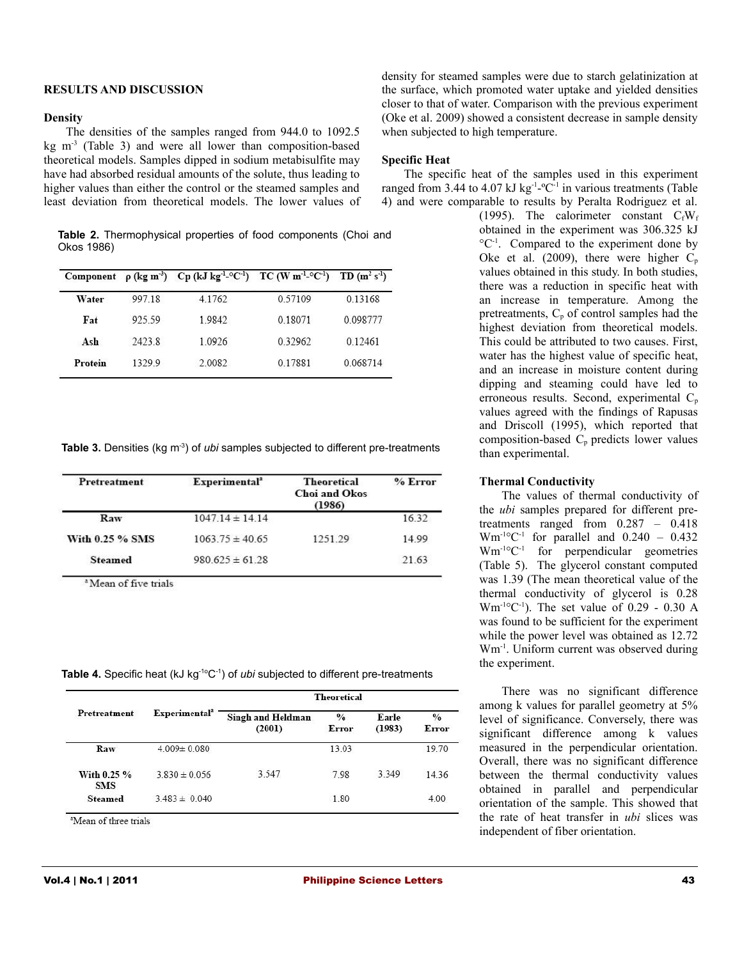#### **RESULTS AND DISCUSSION**

# **Density**

The densities of the samples ranged from 944.0 to 1092.5 kg  $m<sup>-3</sup>$  (Table 3) and were all lower than composition-based theoretical models. Samples dipped in sodium metabisulfite may have had absorbed residual amounts of the solute, thus leading to higher values than either the control or the steamed samples and least deviation from theoretical models. The lower values of

**Table 2.** Thermophysical properties of food components (Choi and Okos 1986)

|         |        | Component $\rho$ (kg m <sup>3</sup> ) Cp (kJ kg <sup>-1</sup> -°C <sup>-1</sup> ) TC (W m <sup>-1</sup> -°C <sup>-1</sup> ) TD (m <sup>2</sup> s <sup>-1</sup> ) |         |             |
|---------|--------|------------------------------------------------------------------------------------------------------------------------------------------------------------------|---------|-------------|
| Water   | 99718  | 4.1762                                                                                                                                                           | 0.57109 | 0.13168     |
| Fat     | 925.59 | 19842                                                                                                                                                            | 0.18071 | 0.098777    |
| Ash     | 24238  | 1.0926                                                                                                                                                           | 0.32962 | 0 1 2 4 6 1 |
| Protein | 13299  | 2.0082                                                                                                                                                           | 0.17881 | 0.068714    |

**Table 3.** Densities (kg m<sup>-3</sup>) of *ubi* samples subjected to different pre-treatments

| Pretreatment    | Experimental <sup>a</sup> | <b>Theoretical</b><br>Choi and Okos<br>(1986) | $%$ Error |  |
|-----------------|---------------------------|-----------------------------------------------|-----------|--|
| Raw             | $1047.14 \pm 14.14$       |                                               | 16.32     |  |
| With 0.25 % SMS | $1063.75 \pm 40.65$       | 1251 29                                       | 14 99     |  |
| <b>Steamed</b>  | $980625 \pm 6128$         |                                               | 21.63     |  |

<sup>a</sup> Mean of five trials

Table 4. Specific heat (kJ kg<sup>-1o</sup>C<sup>-1</sup>) of *ubi* subjected to different pre-treatments

|                           |                           | <b>Theoretical</b>          |                        |                 |                        |  |  |
|---------------------------|---------------------------|-----------------------------|------------------------|-----------------|------------------------|--|--|
| Pretreatment              | Experimental <sup>3</sup> | Singh and Heldman<br>(2001) | $\frac{0}{2}$<br>Error | Earle<br>(1983) | $\frac{0}{0}$<br>Error |  |  |
| Raw                       | $4.009 \pm 0.080$         |                             | 13.03                  |                 | 19.70                  |  |  |
| With 0.25 %<br><b>SMS</b> | $3.830 \pm 0.056$         | 3.547                       | 7.98                   | 3 3 4 9         | 14.36                  |  |  |
| <b>Steamed</b>            | $3.483 \pm 0.040$         |                             | 1.80                   |                 | 4.00                   |  |  |

<sup>a</sup>Mean of three trials

density for steamed samples were due to starch gelatinization at the surface, which promoted water uptake and yielded densities closer to that of water. Comparison with the previous experiment (Oke et al. 2009) showed a consistent decrease in sample density when subjected to high temperature.

#### **Specific Heat**

The specific heat of the samples used in this experiment ranged from 3.44 to 4.07 kJ kg<sup>-1</sup>-°C<sup>-1</sup> in various treatments (Table 4) and were comparable to results by Peralta Rodriguez et al.

(1995). The calorimeter constant  $C_fW_f$ obtained in the experiment was 306.325 kJ °C-1 . Compared to the experiment done by Oke et al. (2009), there were higher  $C_p$ values obtained in this study. In both studies, there was a reduction in specific heat with an increase in temperature. Among the pretreatments,  $C_p$  of control samples had the highest deviation from theoretical models. This could be attributed to two causes. First, water has the highest value of specific heat, and an increase in moisture content during dipping and steaming could have led to erroneous results. Second, experimental C<sub>p</sub> values agreed with the findings of Rapusas and Driscoll (1995), which reported that composition-based  $C_p$  predicts lower values than experimental.

#### **Thermal Conductivity**

The values of thermal conductivity of the *ubi* samples prepared for different pretreatments ranged from 0.287 – 0.418  $Wm^{-1}$ <sup>o</sup>C<sup>-1</sup> for parallel and 0.240 – 0.432 Wm-1°C-1 for perpendicular geometries (Table 5). The glycerol constant computed was 1.39 (The mean theoretical value of the thermal conductivity of glycerol is 0.28  $Wm^{-1}^{\circ}C^{-1}$ ). The set value of 0.29 - 0.30 A was found to be sufficient for the experiment while the power level was obtained as 12.72 Wm-1. Uniform current was observed during the experiment.

There was no significant difference among k values for parallel geometry at 5% level of significance. Conversely, there was significant difference among k values measured in the perpendicular orientation. Overall, there was no significant difference between the thermal conductivity values obtained in parallel and perpendicular orientation of the sample. This showed that the rate of heat transfer in *ubi* slices was independent of fiber orientation.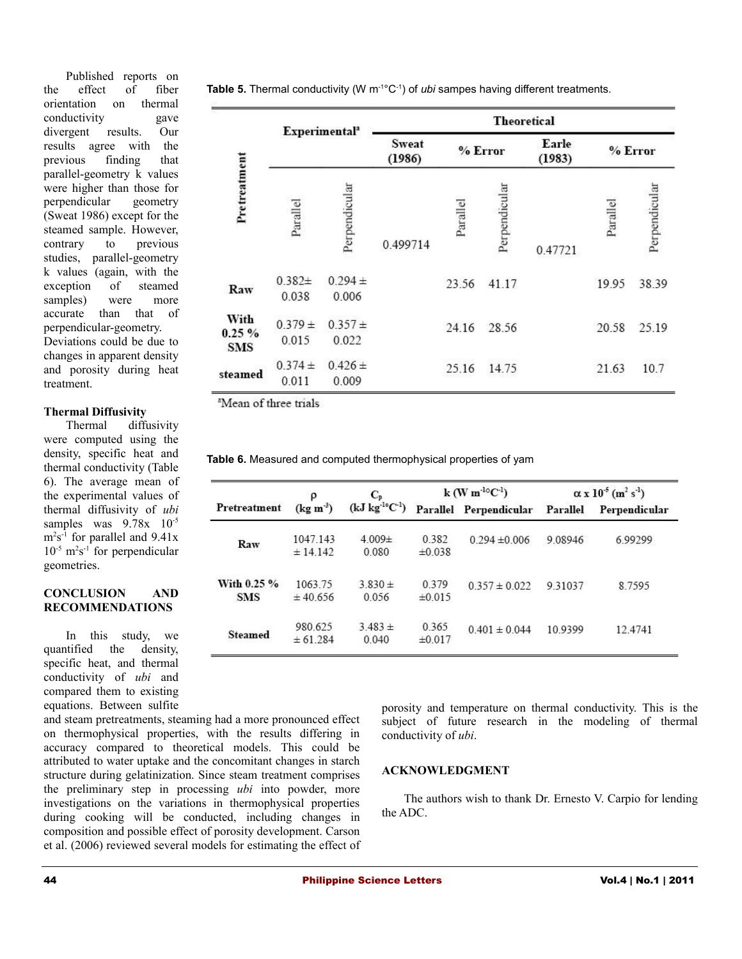Published reports on the effect of fiber orientation on thermal conductivity gave divergent results. Our results agree with the previous finding that parallel-geometry k values were higher than those for perpendicular geometry (Sweat 1986) except for the steamed sample. However, contrary to previous studies, parallel-geometry k values (again, with the exception of steamed samples) were more accurate than that of perpendicular-geometry.

Deviations could be due to changes in apparent density and porosity during heat treatment.

#### **Thermal Diffusivity**

Thermal diffusivity were computed using the density, specific heat and thermal conductivity (Table 6). The average mean of the experimental values of thermal diffusivity of *ubi* samples was  $9.78x$   $10^{-5}$  $m<sup>2</sup>s<sup>-1</sup>$  for parallel and 9.41x  $10^{-5}$  m<sup>2</sup>s<sup>-1</sup> for perpendicular geometries.

#### **CONCLUSION AND RECOMMENDATIONS**

In this study, we quantified the density, specific heat, and thermal conductivity of *ubi* and compared them to existing equations. Between sulfite

and steam pretreatments, steaming had a more pronounced effect on thermophysical properties, with the results differing in accuracy compared to theoretical models. This could be attributed to water uptake and the concomitant changes in starch structure during gelatinization. Since steam treatment comprises the preliminary step in processing *ubi* into powder, more investigations on the variations in thermophysical properties during cooking will be conducted, including changes in composition and possible effect of porosity development. Carson et al. (2006) reviewed several models for estimating the effect of

**Table 5.** Thermal conductivity (W m<sup>-1</sup>°C<sup>-1</sup>) of *ubi* sampes having different treatments.

|                                 | Experimental <sup>a</sup> |                      | <b>Theoretical</b>     |          |               |                 |          |               |
|---------------------------------|---------------------------|----------------------|------------------------|----------|---------------|-----------------|----------|---------------|
|                                 |                           |                      | <b>Sweat</b><br>(1986) | % Error  |               | Earle<br>(1983) | % Error  |               |
| Pretreatment                    | Parallel                  | Perpendicular        | 0.499714               | Parallel | Perpendicular | 0.47721         | Parallel | Perpendicular |
| Raw                             | $0.382+$<br>0.038         | $0.294 \pm$<br>0.006 |                        | 23.56    | 41.17         |                 | 19.95    | 38.39         |
| With<br>$0.25 \%$<br><b>SMS</b> | $0.379 \pm$<br>0.015      | $0.357 +$<br>0.022   |                        | 24.16    | 28.56         |                 | 20.58    | 25.19         |
| steamed                         | $0.374 \pm$<br>0.011      | $0.426 \pm$<br>0.009 |                        | 25.16    | 14.75         |                 | 21.63    | 10.7          |

<sup>a</sup>Mean of three trials

 $\equiv$ 

**Table 6.** Measured and computed thermophysical properties of yam

|                           |                      | $C_{p}$              | $k$ (W m <sup>-lo</sup> C <sup>-l</sup> ) |                                                                         | $\alpha$ x 10 <sup>-5</sup> (m <sup>2</sup> s <sup>-1</sup> ) |               |
|---------------------------|----------------------|----------------------|-------------------------------------------|-------------------------------------------------------------------------|---------------------------------------------------------------|---------------|
| Pretreatment              | $(\text{kg m}^3)$    |                      |                                           | (kJ kg <sup>-10</sup> C <sup>-1</sup> ) Parallel Perpendicular Parallel |                                                               | Perpendicular |
| Raw                       | 1047.143<br>± 14.142 | $4.009\pm$<br>0.080  | 0.382<br>±0.038                           | $0.294 \pm 0.006$                                                       | 9.08946                                                       | 6.99299       |
| With 0.25 %<br><b>SMS</b> | 1063.75<br>± 40.656  | $3.830 \pm$<br>0.056 | 0.379<br>±0.015                           | $0.357 \pm 0.022$                                                       | 931037                                                        | 8.7595        |
| <b>Steamed</b>            | 980.625<br>± 61.284  | $3.483 \pm$<br>0.040 | 0.365<br>±0.017                           | $0.401 \pm 0.044$                                                       | 109399                                                        | 12.4741       |

porosity and temperature on thermal conductivity. This is the subject of future research in the modeling of thermal conductivity of *ubi*.

# **ACKNOWLEDGMENT**

The authors wish to thank Dr. Ernesto V. Carpio for lending the ADC.